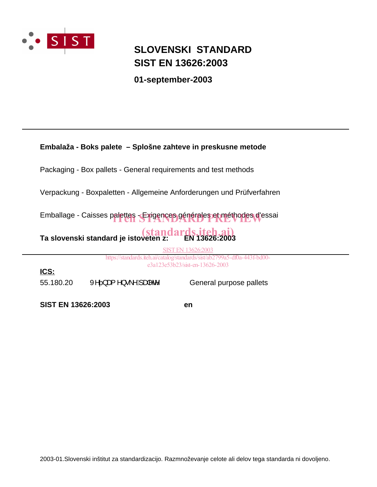

# **SIST EN 13626:2003 SLOVENSKI STANDARD**

**01-september-2003**



Packaging - Box pallets - General requirements and test methods

Verpackung - Boxpaletten - Allgemeine Anforderungen und Prüfverfahren

Emballage - Caisses palettes - Exigences générales et méthodes d'essai

# **Ta slovenski standard je istoveten z: (standards.iteh.ai)**<br>Ta slovenski standard je istoveten z: (EN 13626:2003

| SIST EN 13626:2003                                                        |                                 |                         |  |  |  |  |
|---------------------------------------------------------------------------|---------------------------------|-------------------------|--|--|--|--|
| https://standards.iteh.ai/catalog/standards/sist/ab2799a5-df0a-443f-bd00- |                                 |                         |  |  |  |  |
|                                                                           | e3a123e53b23/sist-en-13626-2003 |                         |  |  |  |  |
| ICS:                                                                      |                                 |                         |  |  |  |  |
| 55.180.20                                                                 | X^ }æ{ ^}•\^Á æl^c^             | General purpose pallets |  |  |  |  |

**SIST EN 13626:2003 en**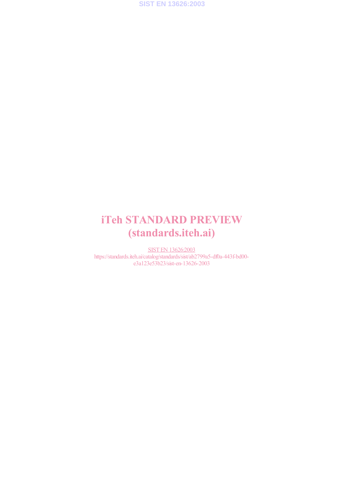

# iTeh STANDARD PREVIEW (standards.iteh.ai)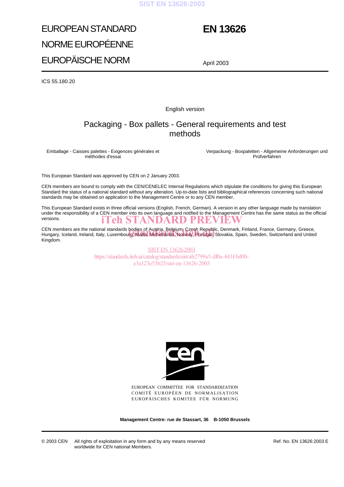#### **SIST EN 13626:2003**

# EUROPEAN STANDARD NORME EUROPÉENNE EUROPÄISCHE NORM

## **EN 13626**

April 2003

ICS 55.180.20

English version

### Packaging - Box pallets - General requirements and test methods

Emballage - Caisses palettes - Exigences générales et méthodes d'essai

Verpackung - Boxpaletten - Allgemeine Anforderungen und Prüfverfahren

This European Standard was approved by CEN on 2 January 2003.

CEN members are bound to comply with the CEN/CENELEC Internal Regulations which stipulate the conditions for giving this European Standard the status of a national standard without any alteration. Up-to-date lists and bibliographical references concerning such national standards may be obtained on application to the Management Centre or to any CEN member.

This European Standard exists in three official versions (English, French, German). A version in any other language made by translation under the responsibility of a CEN member into its own language and notified to the Management Centre has the same status as the official<br>versions. versions.

CEN members are the national standards bodies of Austria, Belgium, Czech Republic, Denmark, Finland, France, Germany, Greece,<br>Hungary, Iceland, Ireland, Italy, Luxembourg, Malta, Netherlands, Norway, Portugal, Slovakia, Sp Hungary, Iceland, Ireland, Italy, Luxembourg, Malta, Netherlands, Norway, Portugal, Slovakia, Spain, Sweden, Switzerland and United Kingdom.

> SIST EN 13626:2003 https://standards.iteh.ai/catalog/standards/sist/ab2799a5-df0a-443f-bd00 e3a123e53b23/sist-en-13626-2003



EUROPEAN COMMITTEE FOR STANDARDIZATION COMITÉ EUROPÉEN DE NORMALISATION EUROPÄISCHES KOMITEE FÜR NORMUNG

**Management Centre: rue de Stassart, 36 B-1050 Brussels**

© 2003 CEN All rights of exploitation in any form and by any means reserved worldwide for CEN national Members.

Ref. No. EN 13626:2003 E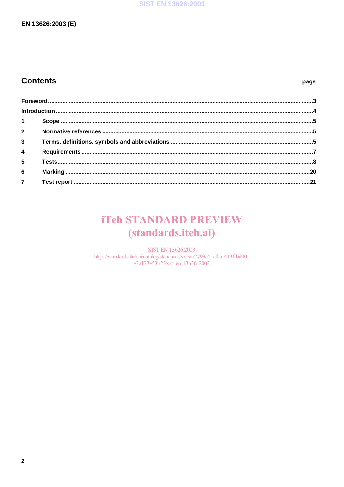### EN 13626:2003 (E)

### **Contents**

#### page

| $1 \quad \blacksquare$ |  |
|------------------------|--|
|                        |  |
| $3^{\circ}$            |  |
| $\overline{4}$         |  |
| 5 <sup>5</sup>         |  |
| $6\phantom{a}$         |  |
| $\overline{7}$         |  |

# **iTeh STANDARD PREVIEW** (standards.iteh.ai)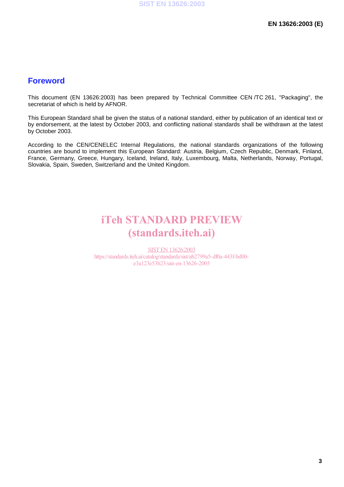### **Foreword**

This document (EN 13626:2003) has been prepared by Technical Committee CEN /TC 261, "Packaging", the secretariat of which is held by AFNOR.

This European Standard shall be given the status of a national standard, either by publication of an identical text or by endorsement, at the latest by October 2003, and conflicting national standards shall be withdrawn at the latest by October 2003.

According to the CEN/CENELEC Internal Regulations, the national standards organizations of the following countries are bound to implement this European Standard: Austria, Belgium, Czech Republic, Denmark, Finland, France, Germany, Greece, Hungary, Iceland, Ireland, Italy, Luxembourg, Malta, Netherlands, Norway, Portugal, Slovakia, Spain, Sweden, Switzerland and the United Kingdom.

# iTeh STANDARD PREVIEW (standards.iteh.ai)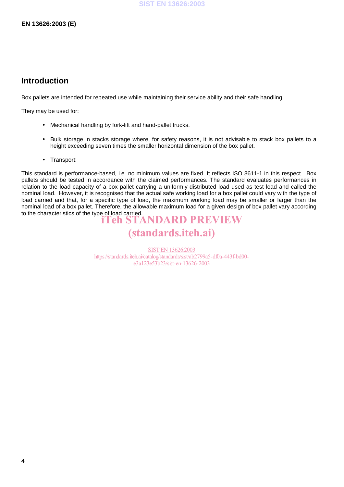### **Introduction**

Box pallets are intended for repeated use while maintaining their service ability and their safe handling.

They may be used for:

- Mechanical handling by fork-lift and hand-pallet trucks.
- Bulk storage in stacks storage where, for safety reasons, it is not advisable to stack box pallets to a height exceeding seven times the smaller horizontal dimension of the box pallet.
- Transport:

This standard is performance-based, i.e. no minimum values are fixed. It reflects ISO 8611-1 in this respect. Box pallets should be tested in accordance with the claimed performances. The standard evaluates performances in relation to the load capacity of a box pallet carrying a uniformly distributed load used as test load and called the nominal load. However, it is recognised that the actual safe working load for a box pallet could vary with the type of load carried and that, for a specific type of load, the maximum working load may be smaller or larger than the nominal load of a box pallet. Therefore, the allowable maximum load for a given design of box pallet vary according to the characteristics of the type of load carried. iTeh STANDARD PREVIEW

# (standards.iteh.ai)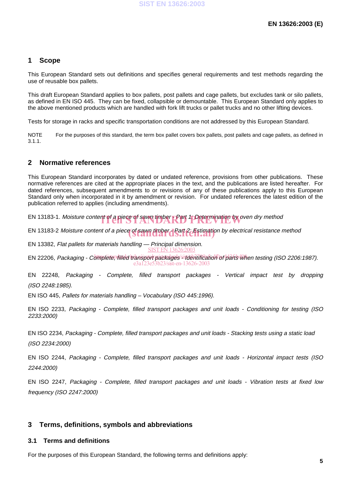#### **1 Scope**

This European Standard sets out definitions and specifies general requirements and test methods regarding the use of reusable box pallets.

This draft European Standard applies to box pallets, post pallets and cage pallets, but excludes tank or silo pallets, as defined in EN ISO 445. They can be fixed, collapsible or demountable. This European Standard only applies to the above mentioned products which are handled with fork lift trucks or pallet trucks and no other lifting devices.

Tests for storage in racks and specific transportation conditions are not addressed by this European Standard.

NOTE For the purposes of this standard, the term box pallet covers box pallets, post pallets and cage pallets, as defined in 3.1.1.

#### **2 Normative references**

This European Standard incorporates by dated or undated reference, provisions from other publications. These normative references are cited at the appropriate places in the text, and the publications are listed hereafter. For dated references, subsequent amendments to or revisions of any of these publications apply to this European Standard only when incorporated in it by amendment or revision. For undated references the latest edition of the publication referred to applies (including amendments).

EN 13183-1. Moisture content of a piece of sawn timber - Part 1: Determination by oven dry method

EN 13183-2 Moisture content of a piece of sawn timber **- Part 2: Estimation** by electrical resistance method

EN 13382, Flat pallets for materials handling — Principal dimension. SIST EN 13626:2003

EN 22206, Packaging - Complete, filled transport packages sidentification of parts when testing (ISO 2206:1987). e3a123e53b23/sist-en-13626-2003

EN 22248, Packaging - Complete, filled transport packages - Vertical impact test by dropping (ISO 2248:1985).

EN ISO 445, Pallets for materials handling – Vocabulary (ISO 445:1996).

EN ISO 2233, Packaging - Complete, filled transport packages and unit loads - Conditioning for testing (ISO 2233:2000)

EN ISO 2234, Packaging - Complete, filled transport packages and unit loads - Stacking tests using a static load (ISO 2234:2000)

EN ISO 2244, Packaging - Complete, filled transport packages and unit loads - Horizontal impact tests (ISO 2244:2000)

EN ISO 2247, Packaging - Complete, filled transport packages and unit loads - Vibration tests at fixed low frequency (ISO 2247:2000)

#### **3 Terms, definitions, symbols and abbreviations**

#### **3.1 Terms and definitions**

For the purposes of this European Standard, the following terms and definitions apply: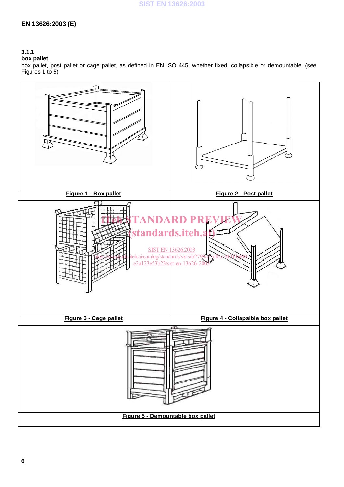#### **EN 13626:2003 (E)**

#### **3.1.1**

#### **box pallet**

box pallet, post pallet or cage pallet, as defined in EN ISO 445, whether fixed, collapsible or demountable. (see Figures 1 to 5)

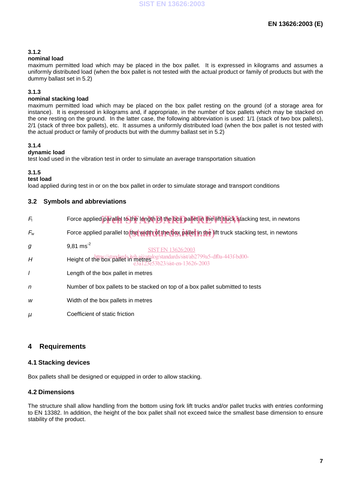#### **3.1.2**

#### **nominal load**

maximum permitted load which may be placed in the box pallet. It is expressed in kilograms and assumes a uniformly distributed load (when the box pallet is not tested with the actual product or family of products but with the dummy ballast set in 5.2)

#### **3.1.3**

#### **nominal stacking load**

maximum permitted load which may be placed on the box pallet resting on the ground (of a storage area for instance). It is expressed in kilograms and, if appropriate, in the number of box pallets which may be stacked on the one resting on the ground. In the latter case, the following abbreviation is used: 1/1 (stack of two box pallets), 2/1 (stack of three box pallets), etc. It assumes a uniformly distributed load (when the box pallet is not tested with the actual product or family of products but with the dummy ballast set in 5.2)

#### **3.1.4**

#### **dynamic load**

test load used in the vibration test in order to simulate an average transportation situation

#### **3.1.5**

#### **test load**

load applied during test in or on the box pallet in order to simulate storage and transport conditions

#### **3.2 Symbols and abbreviations**

| $F_1$   | Force applied parallel to the length of the box pallet in the lift truck stacking test, in newtons               |
|---------|------------------------------------------------------------------------------------------------------------------|
| $F_{w}$ | Force applied parallel to the width of the box pallet in the lift truck stacking test, in newtons                |
| g       | $9,81 \text{ ms}^{-2}$<br>SIST EN 13626:2003                                                                     |
| H       | Height of the box pallet in nicatalog/standards/sist/ab2799a5-df0a-443f-bd00-<br>exal23e53b23/sist-en-13626-2003 |
|         | Length of the box pallet in metres                                                                               |
| n       | Number of box pallets to be stacked on top of a box pallet submitted to tests                                    |
| W       | Width of the box pallets in metres                                                                               |
| μ       | Coefficient of static friction                                                                                   |

#### **4 Requirements**

#### **4.1 Stacking devices**

Box pallets shall be designed or equipped in order to allow stacking.

#### **4.2 Dimensions**

The structure shall allow handling from the bottom using fork lift trucks and/or pallet trucks with entries conforming to EN 13382. In addition, the height of the box pallet shall not exceed twice the smallest base dimension to ensure stability of the product.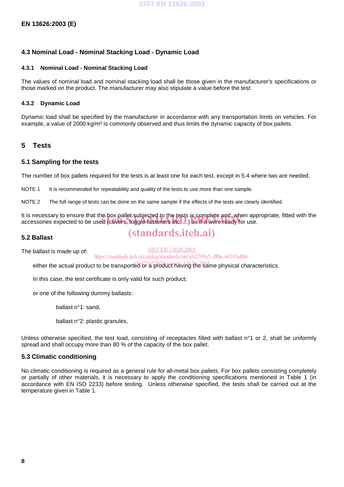#### **4.3 Nominal Load - Nominal Stacking Load - Dynamic Load**

#### **4.3.1 Nominal Load - Nominal Stacking Load**

The values of nominal load and nominal stacking load shall be those given in the manufacturer's specifications or those marked on the product. The manufacturer may also stipulate a value before the test.

#### **4.3.2 Dynamic Load**

Dynamic load shall be specified by the manufacturer in accordance with any transportation limits on vehicles. For example, a value of 2000 kg/m² is commonly observed and thus limits the dynamic capacity of box pallets.

#### **5 Tests**

#### **5.1 Sampling for the tests**

The number of box pallets required for the tests is at least one for each test, except in 5.4 where two are needed.

NOTE 1 It is recommended for repeatability and quality of the tests to use more than one sample.

NOTE 2 The full range of tests can be done on the same sample if the effects of the tests are clearly identified.

It is necessary to ensure that the box pallet subjected to the tests is complete and, when appropriate, fitted with the It is necessary to ensure that the box pallet subjected to the tests is complete and, when app<br>accessories expected to be used (covers, toggle-fasteners etc. ...) as if it were ready for use.

#### **5.2 Ballast**

## (standards.iteh.ai)

The ballast is made up of:

SIST EN 13626:2003

https://standards.iteh.ai/catalog/standards/sist/ab2799a5-df0a-443f-bd00-

either the actual product to be transported or a product having the same physical characteristics.

In this case, the test certificate is only valid for such product;

- or one of the following dummy ballasts:
	- ballast n°1: sand,
	- ballast n°2: plastic granules,

Unless otherwise specified, the test load, consisting of receptacles filled with ballast n°1 or 2, shall be uniformly spread and shall occupy more than 80 % of the capacity of the box pallet.

#### **5.3 Climatic conditioning**

No climatic conditioning is required as a general rule for all-metal box pallets. For box pallets consisting completely or partially of other materials, it is necessary to apply the conditioning specifications mentioned in Table 1 (in accordance with EN ISO 2233) before testing. Unless otherwise specified, the tests shall be carried out at the temperature given in Table 1.